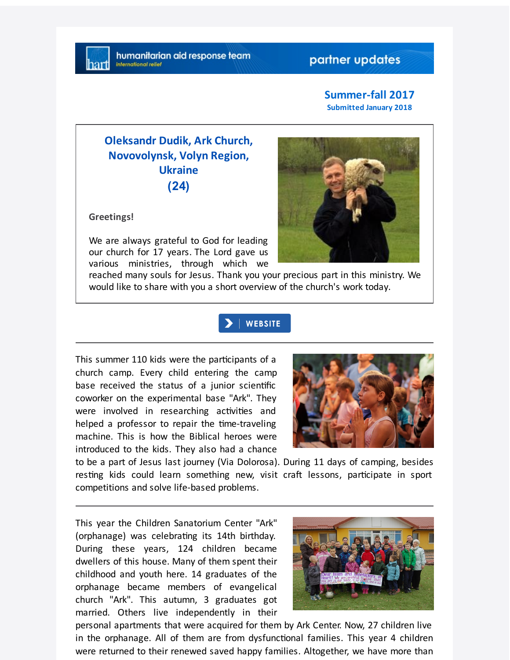## partner updates

#### **Summer-fall 2017 Submitted January 2018**

# **Oleksandr Dudik, Ark Church, Novovolynsk, Volyn Region, Ukraine (24)**

**Greetings!**

We are always grateful to God for leading our church for 17 years. The Lord gave us various ministries, through which we



reached many souls for Jesus. Thank you your precious part in this ministry. We would like to share with you a short overview of the church's work today.

## **WEBSITE**

This summer 110 kids were the participants of a church camp. Every child entering the camp base received the status of a junior scientific coworker on the experimental base "Ark". They were involved in researching activities and helped a professor to repair the time-traveling machine. This is how the Biblical heroes were introduced to the kids. They also had a chance



to be a part of Jesus last journey (Via Dolorosa). During 11 days of camping, besides resting kids could learn something new, visit craft lessons, participate in sport competitions and solve life-based problems.

This year the Children Sanatorium Center "Ark" (orphanage) was celebrating its 14th birthday. During these years, 124 children became dwellers of this house. Many of them spent their childhood and youth here. 14 graduates of the orphanage became members of evangelical church "Ark". This autumn, 3 graduates got married. Others live independently in their



personal apartments that were acquired for them by Ark Center. Now, 27 children live in the orphanage. All of them are from dysfunctional families. This year 4 children were returned to their renewed saved happy families. Altogether, we have more than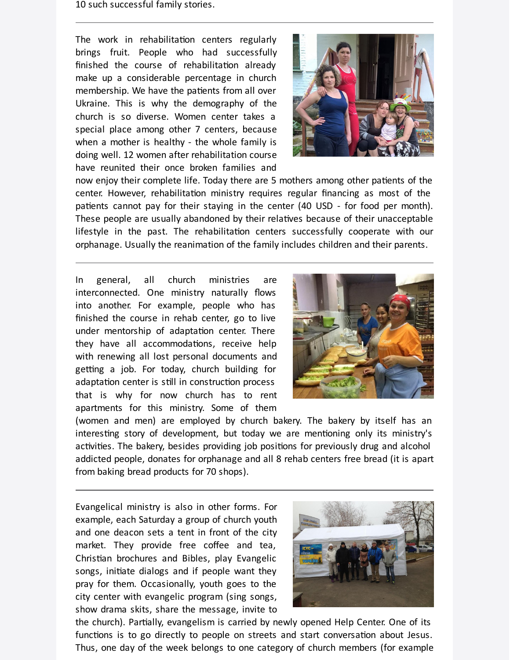10 such successful family stories.

The work in rehabilitation centers regularly brings fruit. People who had successfully finished the course of rehabilitation already make up a considerable percentage in church membership. We have the patients from all over Ukraine. This is why the demography of the church is so diverse. Women center takes a special place among other 7 centers, because when a mother is healthy - the whole family is doing well. 12 women after rehabilitation course have reunited their once broken families and



now enjoy their complete life. Today there are 5 mothers among other patients of the center. However, rehabilitation ministry requires regular financing as most of the patients cannot pay for their staying in the center (40 USD - for food per month). These people are usually abandoned by their relatives because of their unacceptable lifestyle in the past. The rehabilitation centers successfully cooperate with our orphanage. Usually the reanimation of the family includes children and their parents.

In general, all church ministries are interconnected. One ministry naturally flows into another. For example, people who has finished the course in rehab center, go to live under mentorship of adaptation center. There they have all accommodations, receive help with renewing all lost personal documents and getting a job. For today, church building for adaptation center is still in construction process that is why for now church has to rent apartments for this ministry. Some of them



(women and men) are employed by church bakery. The bakery by itself has an interesting story of development, but today we are mentioning only its ministry's activities. The bakery, besides providing job positions for previously drug and alcohol addicted people, donates for orphanage and all 8 rehab centers free bread (it is apart from baking bread products for 70 shops).

Evangelical ministry is also in other forms. For example, each Saturday a group of church youth and one deacon sets a tent in front of the city market. They provide free coffee and tea, Christian brochures and Bibles, play Evangelic songs, initiate dialogs and if people want they pray for them. Occasionally, youth goes to the city center with evangelic program (sing songs, show drama skits, share the message, invite to



the church). Partially, evangelism is carried by newly opened Help Center. One of its functions is to go directly to people on streets and start conversation about Jesus. Thus, one day of the week belongs to one category of church members (for example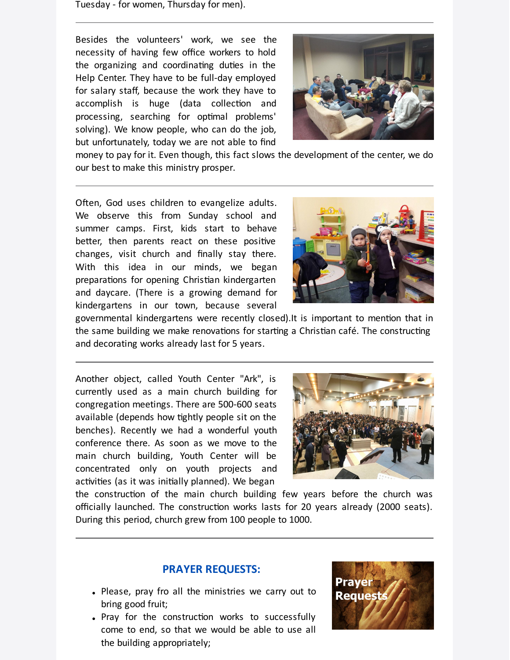Tuesday - for women, Thursday for men).

Besides the volunteers' work, we see the necessity of having few office workers to hold the organizing and coordinating duties in the Help Center. They have to be full-day employed for salary staff, because the work they have to accomplish is huge (data collection and processing, searching for optimal problems' solving). We know people, who can do the job, but unfortunately, today we are not able to find



money to pay for it. Even though, this fact slows the development of the center, we do our best to make this ministry prosper.

Often, God uses children to evangelize adults. We observe this from Sunday school and summer camps. First, kids start to behave better, then parents react on these positive changes, visit church and finally stay there. With this idea in our minds, we began preparations for opening Christian kindergarten and daycare. (There is a growing demand for kindergartens in our town, because several



governmental kindergartens were recently closed). It is important to mention that in the same building we make renovations for starting a Christian café. The constructing and decorating works already last for 5 years.

Another object, called Youth Center "Ark", is currently used as a main church building for congregation meetings. There are 500-600 seats available (depends how tightly people sit on the benches). Recently we had a wonderful youth conference there. As soon as we move to the main church building, Youth Center will be concentrated only on youth projects and activities (as it was initially planned). We began



the construction of the main church building few years before the church was officially launched. The construction works lasts for 20 years already (2000 seats). During this period, church grew from 100 people to 1000.

## **PRAYER REQUESTS:**

- Please, pray fro all the ministries we carry out to bring good fruit;
- Pray for the construction works to successfully come to end, so that we would be able to use all the building appropriately;